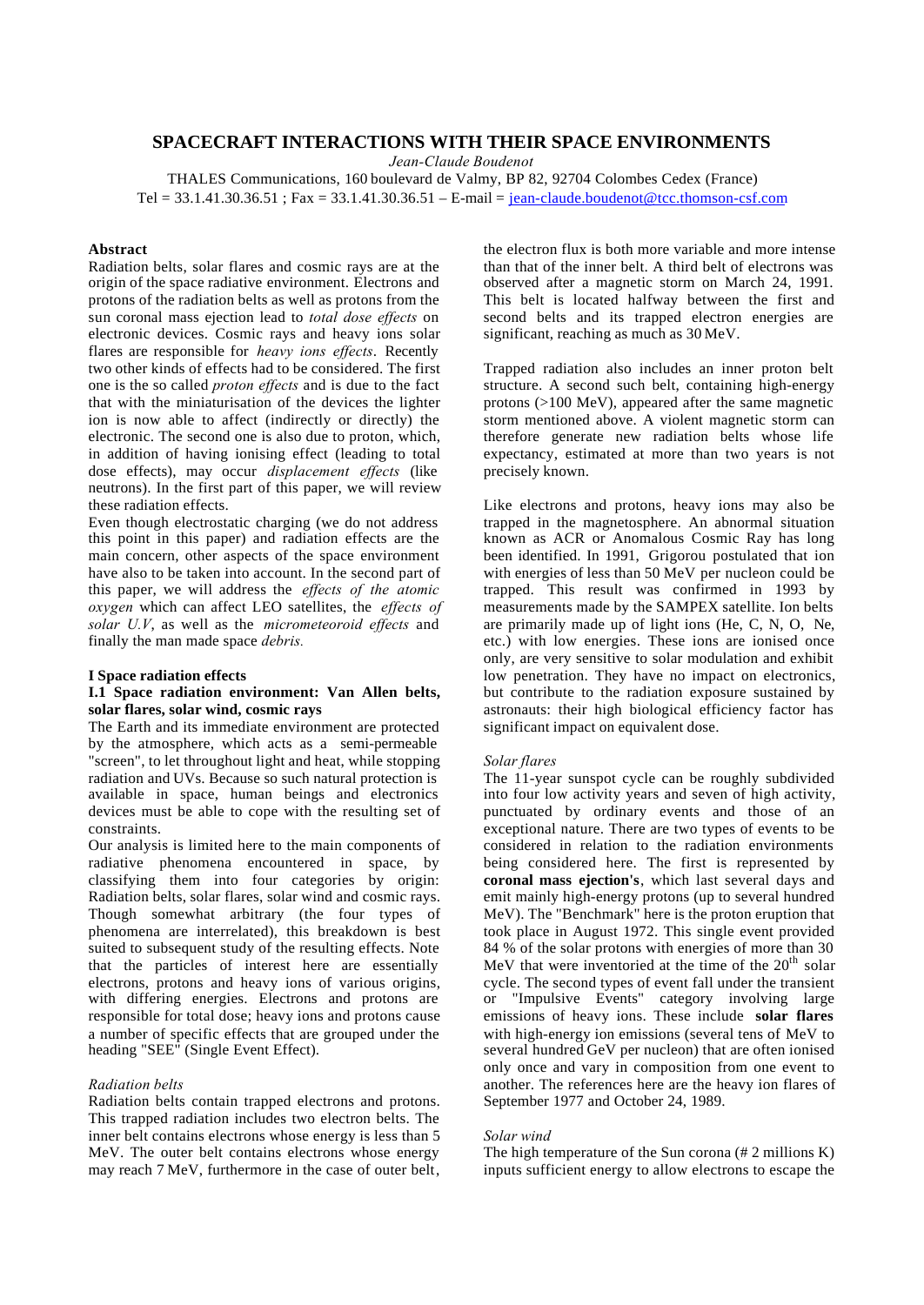# **SPACECRAFT INTERACTIONS WITH THEIR SPACE ENVIRONMENTS**

*Jean-Claude Boudenot*

THALES Communications, 160 boulevard de Valmy, BP 82, 92704 Colombes Cedex (France) Tel = 33.1.41.30.36.51 ; Fax = 33.1.41.30.36.51 – E-mail = jean-claude.boudenot@tcc.thomson-csf.com

# **Abstract**

Radiation belts, solar flares and cosmic rays are at the origin of the space radiative environment. Electrons and protons of the radiation belts as well as protons from the sun coronal mass ejection lead to *total dose effects* on electronic devices. Cosmic rays and heavy ions solar flares are responsible for *heavy ions effects*. Recently two other kinds of effects had to be considered. The first one is the so called *proton effects* and is due to the fact that with the miniaturisation of the devices the lighter ion is now able to affect (indirectly or directly) the electronic. The second one is also due to proton, which, in addition of having ionising effect (leading to total dose effects), may occur *displacement effects* (like neutrons). In the first part of this paper, we will review these radiation effects.

Even though electrostatic charging (we do not address this point in this paper) and radiation effects are the main concern, other aspects of the space environment have also to be taken into account. In the second part of this paper, we will address the *effects of the atomic oxygen* which can affect LEO satellites, the *effects of solar U.V*, as well as the *micrometeoroid effects* and finally the man made space *debris.*

### **I Space radiation effects**

### **I.1 Space radiation environment: Van Allen belts, solar flares, solar wind, cosmic rays**

The Earth and its immediate environment are protected by the atmosphere, which acts as a semi-permeable "screen", to let throughout light and heat, while stopping radiation and UVs. Because so such natural protection is available in space, human beings and electronics devices must be able to cope with the resulting set of constraints.

Our analysis is limited here to the main components of radiative phenomena encountered in space, by classifying them into four categories by origin: Radiation belts, solar flares, solar wind and cosmic rays. Though somewhat arbitrary (the four types of phenomena are interrelated), this breakdown is best suited to subsequent study of the resulting effects. Note that the particles of interest here are essentially electrons, protons and heavy ions of various origins, with differing energies. Electrons and protons are responsible for total dose; heavy ions and protons cause a number of specific effects that are grouped under the heading "SEE" (Single Event Effect).

### *Radiation belts*

Radiation belts contain trapped electrons and protons. This trapped radiation includes two electron belts. The inner belt contains electrons whose energy is less than 5 MeV. The outer belt contains electrons whose energy may reach 7 MeV, furthermore in the case of outer belt,

the electron flux is both more variable and more intense than that of the inner belt. A third belt of electrons was observed after a magnetic storm on March 24, 1991. This belt is located halfway between the first and second belts and its trapped electron energies are significant, reaching as much as 30 MeV.

Trapped radiation also includes an inner proton belt structure. A second such belt, containing high-energy protons (>100 MeV), appeared after the same magnetic storm mentioned above. A violent magnetic storm can therefore generate new radiation belts whose life expectancy, estimated at more than two years is not precisely known.

Like electrons and protons, heavy ions may also be trapped in the magnetosphere. An abnormal situation known as ACR or Anomalous Cosmic Ray has long been identified. In 1991, Grigorou postulated that ion with energies of less than 50 MeV per nucleon could be trapped. This result was confirmed in 1993 by measurements made by the SAMPEX satellite. Ion belts are primarily made up of light ions (He, C, N, O, Ne, etc.) with low energies. These ions are ionised once only, are very sensitive to solar modulation and exhibit low penetration. They have no impact on electronics, but contribute to the radiation exposure sustained by astronauts: their high biological efficiency factor has significant impact on equivalent dose.

#### *Solar flares*

The 11-year sunspot cycle can be roughly subdivided into four low activity years and seven of high activity, punctuated by ordinary events and those of an exceptional nature. There are two types of events to be considered in relation to the radiation environments being considered here. The first is represented by **coronal mass ejection's**, which last several days and emit mainly high-energy protons (up to several hundred MeV). The "Benchmark" here is the proton eruption that took place in August 1972. This single event provided 84 % of the solar protons with energies of more than 30 MeV that were inventoried at the time of the  $20<sup>th</sup>$  solar cycle. The second types of event fall under the transient or "Impulsive Events" category involving large emissions of heavy ions. These include **solar flares** with high-energy ion emissions (several tens of MeV to several hundred GeV per nucleon) that are often ionised only once and vary in composition from one event to another. The references here are the heavy ion flares of September 1977 and October 24, 1989.

#### *Solar wind*

The high temperature of the Sun corona (# 2 millions K) inputs sufficient energy to allow electrons to escape the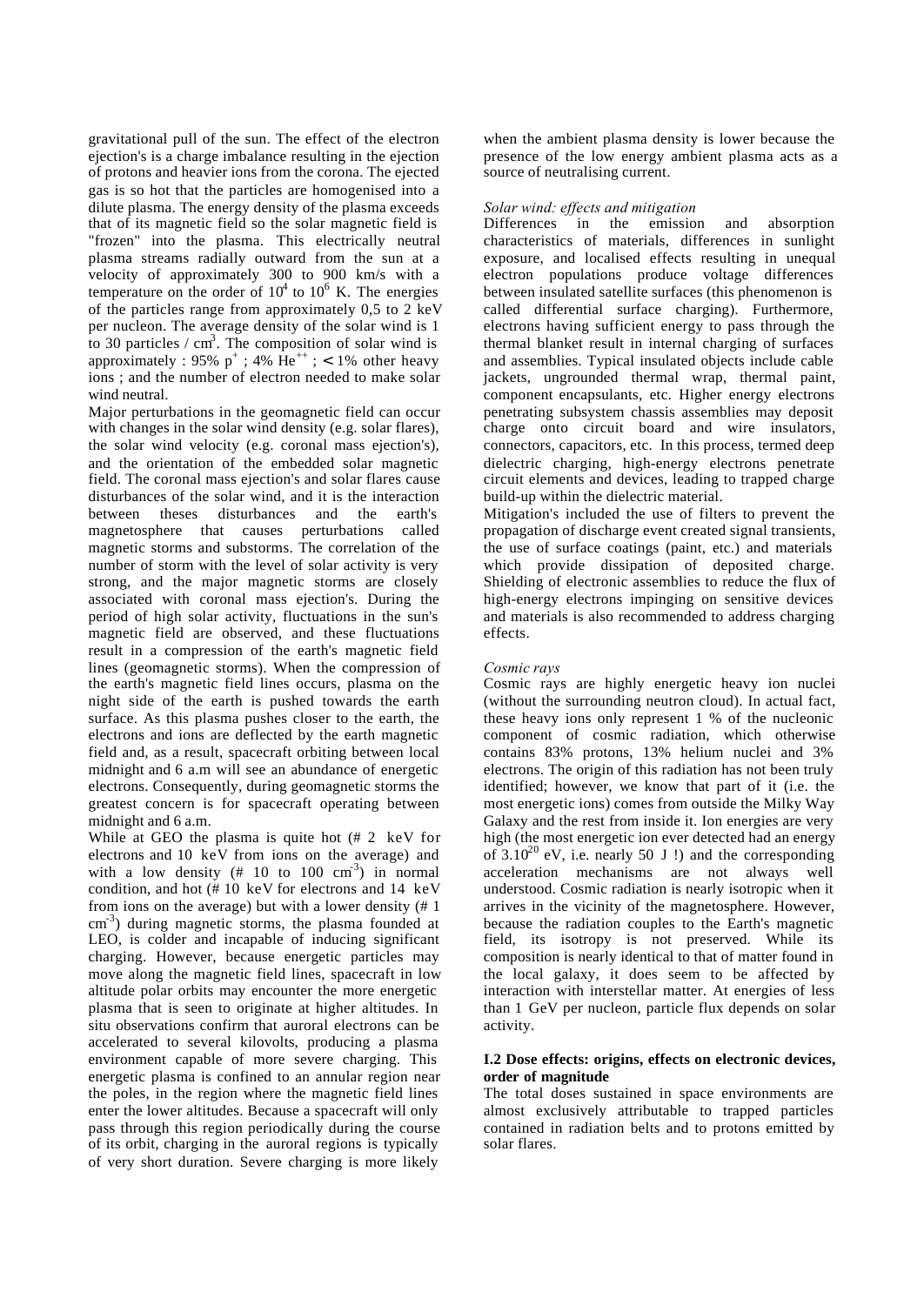gravitational pull of the sun. The effect of the electron ejection's is a charge imbalance resulting in the ejection of protons and heavier ions from the corona. The ejected gas is so hot that the particles are homogenised into a dilute plasma. The energy density of the plasma exceeds that of its magnetic field so the solar magnetic field is "frozen" into the plasma. This electrically neutral plasma streams radially outward from the sun at a velocity of approximately 300 to 900 km/s with a temperature on the order of  $10^4$  to  $10^6$  K. The energies of the particles range from approximately 0,5 to 2 keV per nucleon. The average density of the solar wind is 1 to 30 particles /  $cm<sup>3</sup>$ . The composition of solar wind is approximately : 95%  $p^+$ ; 4%  $He^{++}$ ; < 1% other heavy ions ; and the number of electron needed to make solar wind neutral.

Major perturbations in the geomagnetic field can occur with changes in the solar wind density (e.g. solar flares), the solar wind velocity (e.g. coronal mass ejection's), and the orientation of the embedded solar magnetic field. The coronal mass ejection's and solar flares cause disturbances of the solar wind, and it is the interaction between theses disturbances and the earth's magnetosphere that causes perturbations called magnetic storms and substorms. The correlation of the number of storm with the level of solar activity is very strong, and the major magnetic storms are closely associated with coronal mass ejection's. During the period of high solar activity, fluctuations in the sun's magnetic field are observed, and these fluctuations result in a compression of the earth's magnetic field lines (geomagnetic storms). When the compression of the earth's magnetic field lines occurs, plasma on the night side of the earth is pushed towards the earth surface. As this plasma pushes closer to the earth, the electrons and ions are deflected by the earth magnetic field and, as a result, spacecraft orbiting between local midnight and 6 a.m will see an abundance of energetic electrons. Consequently, during geomagnetic storms the greatest concern is for spacecraft operating between midnight and 6 a.m.

While at GEO the plasma is quite hot (# 2 keV for electrons and 10 keV from ions on the average) and with a low density  $(\# 10 \text{ to } 100 \text{ cm}^3)$  in normal condition, and hot (# 10 keV for electrons and 14 keV from ions on the average) but with a lower density (# 1 cm<sup>-3</sup>) during magnetic storms, the plasma founded at LEO, is colder and incapable of inducing significant charging. However, because energetic particles may move along the magnetic field lines, spacecraft in low altitude polar orbits may encounter the more energetic plasma that is seen to originate at higher altitudes. In situ observations confirm that auroral electrons can be accelerated to several kilovolts, producing a plasma environment capable of more severe charging. This energetic plasma is confined to an annular region near the poles, in the region where the magnetic field lines enter the lower altitudes. Because a spacecraft will only pass through this region periodically during the course of its orbit, charging in the auroral regions is typically of very short duration. Severe charging is more likely

when the ambient plasma density is lower because the presence of the low energy ambient plasma acts as a source of neutralising current.

#### *Solar wind: effects and mitigation*

Differences in the emission and absorption characteristics of materials, differences in sunlight exposure, and localised effects resulting in unequal electron populations produce voltage differences between insulated satellite surfaces (this phenomenon is called differential surface charging). Furthermore, electrons having sufficient energy to pass through the thermal blanket result in internal charging of surfaces and assemblies. Typical insulated objects include cable jackets, ungrounded thermal wrap, thermal paint, component encapsulants, etc. Higher energy electrons penetrating subsystem chassis assemblies may deposit charge onto circuit board and wire insulators, connectors, capacitors, etc. In this process, termed deep dielectric charging, high-energy electrons penetrate circuit elements and devices, leading to trapped charge build-up within the dielectric material.

Mitigation's included the use of filters to prevent the propagation of discharge event created signal transients, the use of surface coatings (paint, etc.) and materials which provide dissipation of deposited charge. Shielding of electronic assemblies to reduce the flux of high-energy electrons impinging on sensitive devices and materials is also recommended to address charging effects.

#### *Cosmic rays*

Cosmic rays are highly energetic heavy ion nuclei (without the surrounding neutron cloud). In actual fact, these heavy ions only represent 1 % of the nucleonic component of cosmic radiation, which otherwise contains 83% protons, 13% helium nuclei and 3% electrons. The origin of this radiation has not been truly identified; however, we know that part of it (i.e. the most energetic ions) comes from outside the Milky Way Galaxy and the rest from inside it. Ion energies are very high (the most energetic ion ever detected had an energy of  $3.10^{20}$  eV, i.e. nearly 50 J !) and the corresponding acceleration mechanisms are not always well understood. Cosmic radiation is nearly isotropic when it arrives in the vicinity of the magnetosphere. However, because the radiation couples to the Earth's magnetic field, its isotropy is not preserved. While its composition is nearly identical to that of matter found in the local galaxy, it does seem to be affected by interaction with interstellar matter. At energies of less than 1 GeV per nucleon, particle flux depends on solar activity.

#### **I.2 Dose effects: origins, effects on electronic devices, order of magnitude**

The total doses sustained in space environments are almost exclusively attributable to trapped particles contained in radiation belts and to protons emitted by solar flares.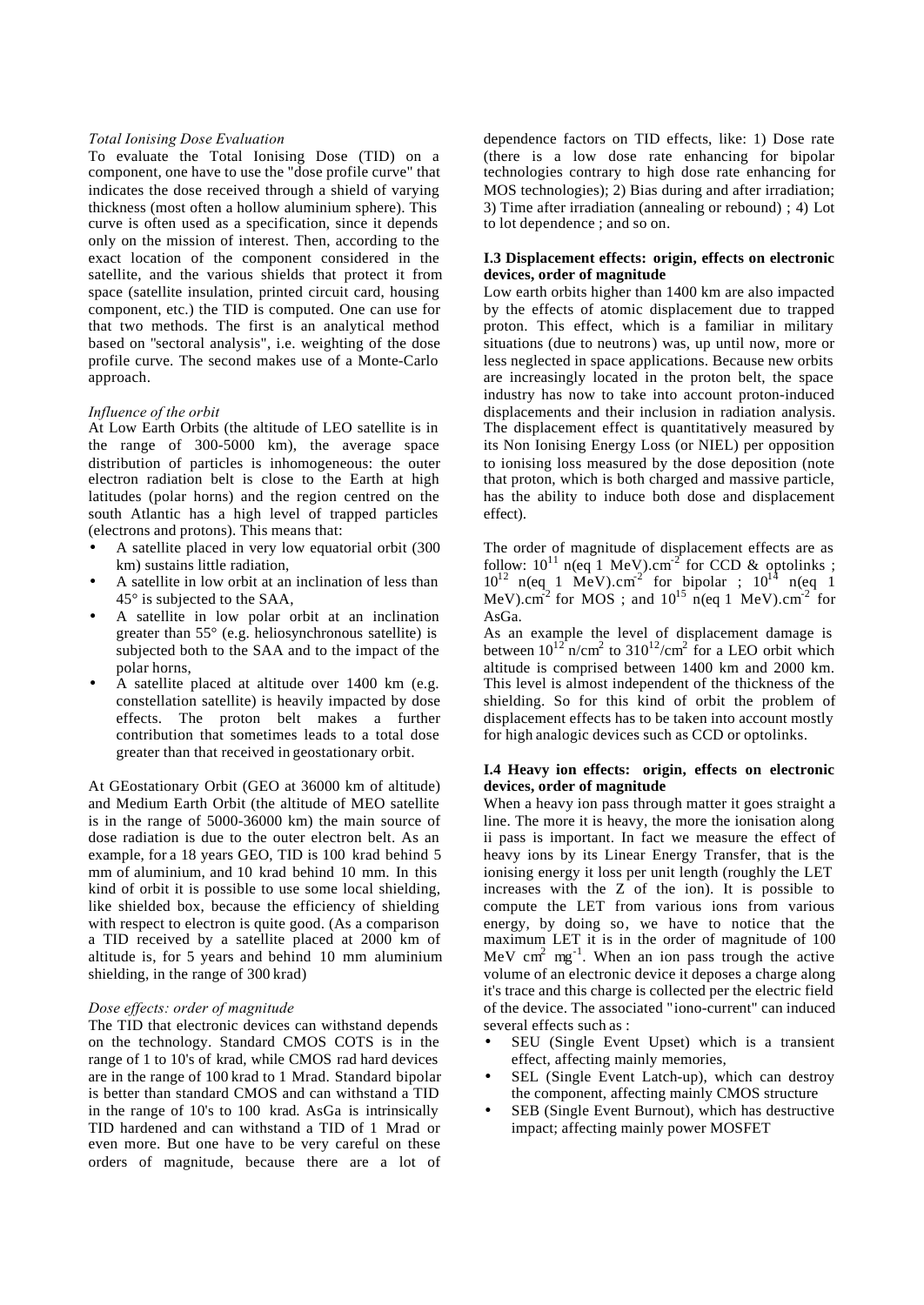### *Total Ionising Dose Evaluation*

To evaluate the Total Ionising Dose (TID) on a component, one have to use the "dose profile curve" that indicates the dose received through a shield of varying thickness (most often a hollow aluminium sphere). This curve is often used as a specification, since it depends only on the mission of interest. Then, according to the exact location of the component considered in the satellite, and the various shields that protect it from space (satellite insulation, printed circuit card, housing component, etc.) the TID is computed. One can use for that two methods. The first is an analytical method based on "sectoral analysis", i.e. weighting of the dose profile curve. The second makes use of a Monte-Carlo approach.

# *Influence of the orbit*

At Low Earth Orbits (the altitude of LEO satellite is in the range of 300-5000 km), the average space distribution of particles is inhomogeneous: the outer electron radiation belt is close to the Earth at high latitudes (polar horns) and the region centred on the south Atlantic has a high level of trapped particles (electrons and protons). This means that:

- A satellite placed in very low equatorial orbit (300 km) sustains little radiation,
- A satellite in low orbit at an inclination of less than 45° is subjected to the SAA,
- A satellite in low polar orbit at an inclination greater than 55° (e.g. heliosynchronous satellite) is subjected both to the SAA and to the impact of the polar horns,
- A satellite placed at altitude over 1400 km (e.g. constellation satellite) is heavily impacted by dose effects. The proton belt makes a further contribution that sometimes leads to a total dose greater than that received in geostationary orbit.

At GEostationary Orbit (GEO at 36000 km of altitude) and Medium Earth Orbit (the altitude of MEO satellite is in the range of 5000-36000 km) the main source of dose radiation is due to the outer electron belt. As an example, for a 18 years GEO, TID is 100 krad behind 5 mm of aluminium, and 10 krad behind 10 mm. In this kind of orbit it is possible to use some local shielding, like shielded box, because the efficiency of shielding with respect to electron is quite good. (As a comparison a TID received by a satellite placed at 2000 km of altitude is, for 5 years and behind 10 mm aluminium shielding, in the range of 300 krad)

#### *Dose effects: order of magnitude*

The TID that electronic devices can withstand depends on the technology. Standard CMOS COTS is in the range of 1 to 10's of krad, while CMOS rad hard devices are in the range of 100 krad to 1 Mrad. Standard bipolar is better than standard CMOS and can withstand a TID in the range of 10's to 100 krad. AsGa is intrinsically TID hardened and can withstand a TID of 1 Mrad or even more. But one have to be very careful on these orders of magnitude, because there are a lot of

dependence factors on TID effects, like: 1) Dose rate (there is a low dose rate enhancing for bipolar technologies contrary to high dose rate enhancing for MOS technologies); 2) Bias during and after irradiation; 3) Time after irradiation (annealing or rebound) ; 4) Lot to lot dependence ; and so on.

### **I.3 Displacement effects: origin, effects on electronic devices, order of magnitude**

Low earth orbits higher than 1400 km are also impacted by the effects of atomic displacement due to trapped proton. This effect, which is a familiar in military situations (due to neutrons) was, up until now, more or less neglected in space applications. Because new orbits are increasingly located in the proton belt, the space industry has now to take into account proton-induced displacements and their inclusion in radiation analysis. The displacement effect is quantitatively measured by its Non Ionising Energy Loss (or NIEL) per opposition to ionising loss measured by the dose deposition (note that proton, which is both charged and massive particle, has the ability to induce both dose and displacement effect).

The order of magnitude of displacement effects are as follow:  $10^{11}$  n(eq 1 MeV).cm<sup>-2</sup> for CCD & optolinks;  $10^{12}$  n(eq 1 MeV).cm<sup>2</sup> for bipolar ;  $10^{14}$  n(eq 1) MeV).cm<sup>-2</sup> for MOS; and  $10^{15}$  n(eq 1 MeV).cm<sup>-2</sup> for AsGa.

As an example the level of displacement damage is between  $10^{12}$ <sup>n</sup>/cm<sup>2</sup> to  $310^{12}$ /cm<sup>2</sup> for a LEO orbit which altitude is comprised between 1400 km and 2000 km. This level is almost independent of the thickness of the shielding. So for this kind of orbit the problem of displacement effects has to be taken into account mostly for high analogic devices such as CCD or optolinks.

# **I.4 Heavy ion effects: origin, effects on electronic devices, order of magnitude**

When a heavy ion pass through matter it goes straight a line. The more it is heavy, the more the ionisation along ii pass is important. In fact we measure the effect of heavy ions by its Linear Energy Transfer, that is the ionising energy it loss per unit length (roughly the LET increases with the  $Z$  of the ion). It is possible to compute the LET from various ions from various energy, by doing so, we have to notice that the maximum LET it is in the order of magnitude of 100 MeV cm<sup>2</sup> mg<sup>-1</sup>. When an ion pass trough the active volume of an electronic device it deposes a charge along it's trace and this charge is collected per the electric field of the device. The associated "iono-current" can induced several effects such as :

- SEU (Single Event Upset) which is a transient effect, affecting mainly memories,
- SEL (Single Event Latch-up), which can destroy the component, affecting mainly CMOS structure
- SEB (Single Event Burnout), which has destructive impact; affecting mainly power MOSFET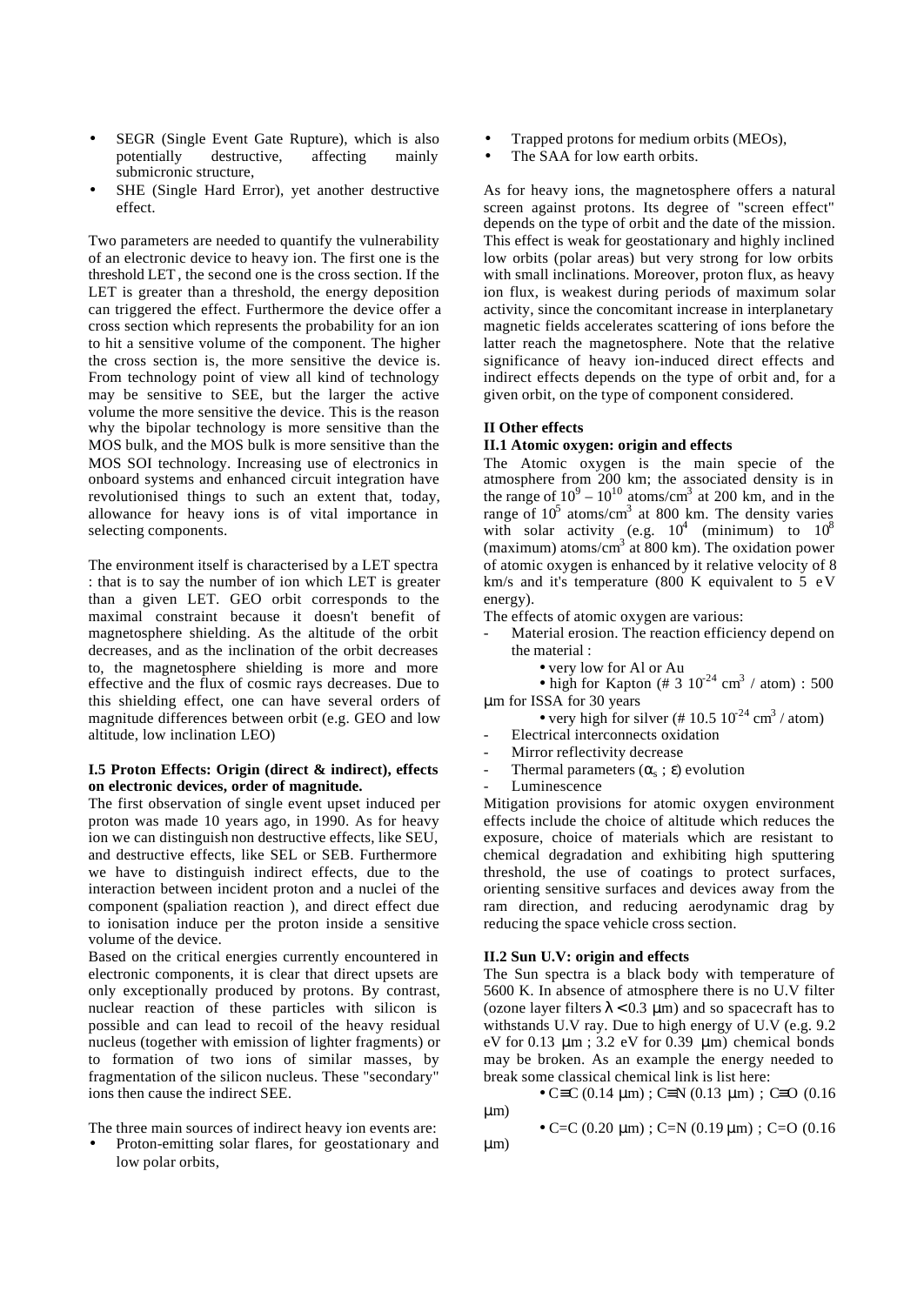- SEGR (Single Event Gate Rupture), which is also potentially destructive, affecting mainly submicronic structure,
- SHE (Single Hard Error), yet another destructive effect.

Two parameters are needed to quantify the vulnerability of an electronic device to heavy ion. The first one is the threshold LET, the second one is the cross section. If the LET is greater than a threshold, the energy deposition can triggered the effect. Furthermore the device offer a cross section which represents the probability for an ion to hit a sensitive volume of the component. The higher the cross section is, the more sensitive the device is. From technology point of view all kind of technology may be sensitive to SEE, but the larger the active volume the more sensitive the device. This is the reason why the bipolar technology is more sensitive than the MOS bulk, and the MOS bulk is more sensitive than the MOS SOI technology. Increasing use of electronics in onboard systems and enhanced circuit integration have revolutionised things to such an extent that, today, allowance for heavy ions is of vital importance in selecting components.

The environment itself is characterised by a LET spectra : that is to say the number of ion which LET is greater than a given LET. GEO orbit corresponds to the maximal constraint because it doesn't benefit of magnetosphere shielding. As the altitude of the orbit decreases, and as the inclination of the orbit decreases to, the magnetosphere shielding is more and more effective and the flux of cosmic rays decreases. Due to this shielding effect, one can have several orders of magnitude differences between orbit (e.g. GEO and low altitude, low inclination LEO)

## **I.5 Proton Effects: Origin (direct & indirect), effects on electronic devices, order of magnitude.**

The first observation of single event upset induced per proton was made 10 years ago, in 1990. As for heavy ion we can distinguish non destructive effects, like SEU, and destructive effects, like SEL or SEB. Furthermore we have to distinguish indirect effects, due to the interaction between incident proton and a nuclei of the component (spaliation reaction ), and direct effect due to ionisation induce per the proton inside a sensitive volume of the device.

Based on the critical energies currently encountered in electronic components, it is clear that direct upsets are only exceptionally produced by protons. By contrast, nuclear reaction of these particles with silicon is possible and can lead to recoil of the heavy residual nucleus (together with emission of lighter fragments) or to formation of two ions of similar masses, by fragmentation of the silicon nucleus. These "secondary" ions then cause the indirect SEE.

The three main sources of indirect heavy ion events are:

• Proton-emitting solar flares, for geostationary and low polar orbits,

- Trapped protons for medium orbits (MEOs),
- The SAA for low earth orbits.

As for heavy ions, the magnetosphere offers a natural screen against protons. Its degree of "screen effect" depends on the type of orbit and the date of the mission. This effect is weak for geostationary and highly inclined low orbits (polar areas) but very strong for low orbits with small inclinations. Moreover, proton flux, as heavy ion flux, is weakest during periods of maximum solar activity, since the concomitant increase in interplanetary magnetic fields accelerates scattering of ions before the latter reach the magnetosphere. Note that the relative significance of heavy ion-induced direct effects and indirect effects depends on the type of orbit and, for a given orbit, on the type of component considered.

#### **II Other effects**

#### **II.1 Atomic oxygen: origin and effects**

The Atomic oxygen is the main specie of the atmosphere from 200 km; the associated density is in the range of  $10^9 - 10^{10}$  atoms/cm<sup>3</sup> at 200 km, and in the range of  $10^5$  atoms/cm<sup>3</sup> at 800 km. The density varies with solar activity (e.g.  $10^4$  (minimum) to  $10^8$ (maximum) atoms/cm<sup>3</sup> at 800 km). The oxidation power of atomic oxygen is enhanced by it relative velocity of 8 km/s and it's temperature (800 K equivalent to 5 eV energy).

The effects of atomic oxygen are various:

- Material erosion. The reaction efficiency depend on the material :
	- very low for Al or Au

• high for Kapton (# 3  $10^{24}$  cm<sup>3</sup> / atom) : 500 μm for ISSA for 30 years

- very high for silver (# 10.5  $10^{-24}$  cm<sup>3</sup> / atom)
- Electrical interconnects oxidation
- Mirror reflectivity decrease
- Thermal parameters  $(\alpha_s; \varepsilon)$  evolution
- Luminescence

Mitigation provisions for atomic oxygen environment effects include the choice of altitude which reduces the exposure, choice of materials which are resistant to chemical degradation and exhibiting high sputtering threshold, the use of coatings to protect surfaces, orienting sensitive surfaces and devices away from the ram direction, and reducing aerodynamic drag by reducing the space vehicle cross section.

# **II.2 Sun U.V: origin and effects**

The Sun spectra is a black body with temperature of 5600 K. In absence of atmosphere there is no U.V filter (ozone layer filters  $\lambda$  < 0.3 µm) and so spacecraft has to withstands U.V ray. Due to high energy of U.V (e.g. 9.2 eV for 0.13  $\mu$ m; 3.2 eV for 0.39  $\mu$ m) chemical bonds may be broken. As an example the energy needed to break some classical chemical link is list here:

• C≡C (0.14  $\mu$ m) ; C≡N (0.13  $\mu$ m) ; C≡O (0.16 μm)

• C=C (0.20 μm) ; C=N (0.19 μm) ; C=O (0.16 μm)